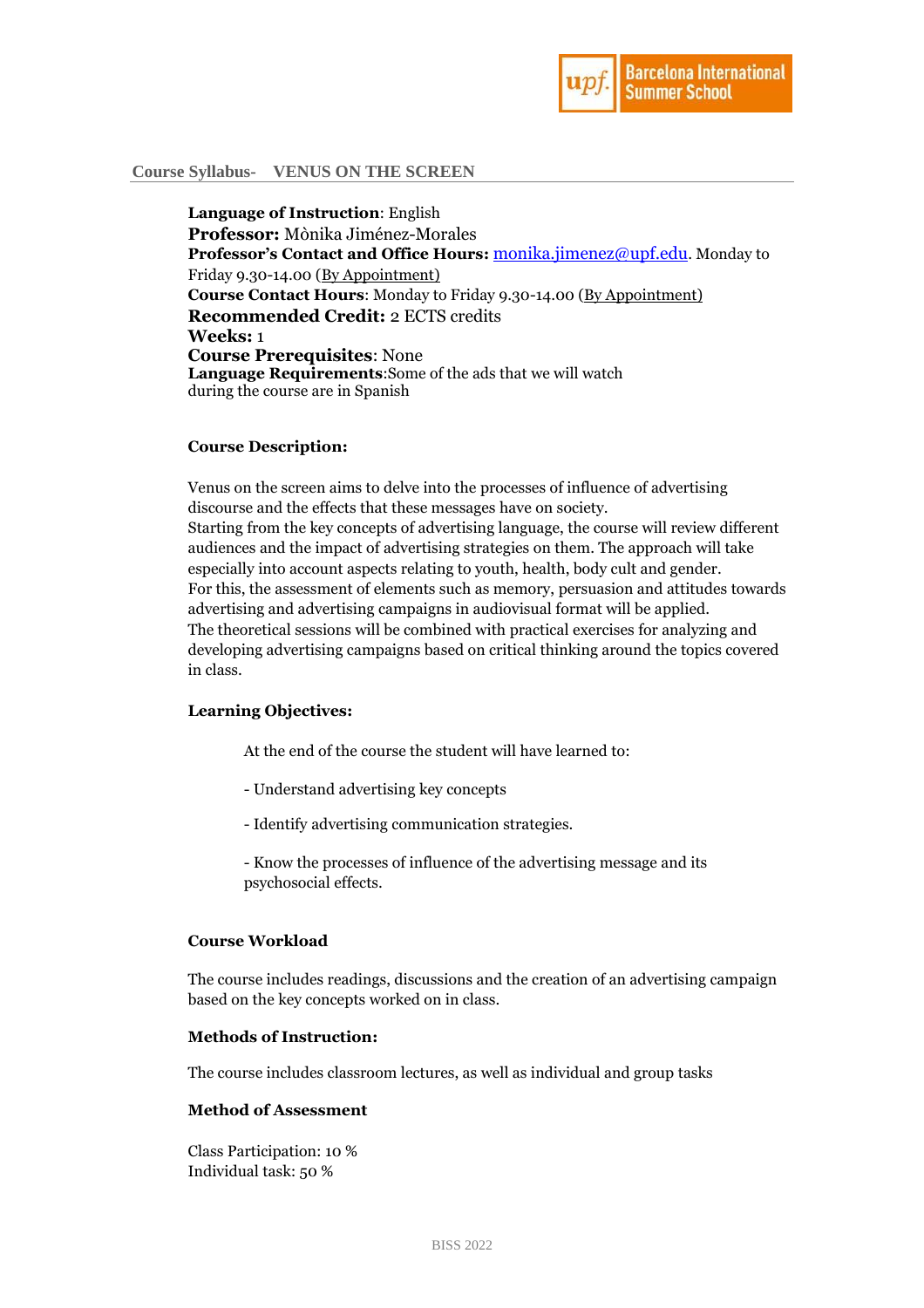

## **Course Syllabus- VENUS ON THE SCREEN**

**Language of Instruction**: English **Professor:** Mònika Jiménez-Morales **Professor's Contact and Office Hours:** [monika.jimenez@upf.edu](mailto:monika.jimenez@upf.edu). Monday to Friday 9.30-14.00 (By Appointment) **Course Contact Hours**: Monday to Friday 9.30-14.00 (By Appointment) **Recommended Credit:** 2 ECTS credits **Weeks:** 1 **Course Prerequisites**: None **Language Requirements**:Some of the ads that we will watch during the course are in Spanish

### **Course Description:**

Venus on the screen aims to delve into the processes of influence of advertising discourse and the effects that these messages have on society. Starting from the key concepts of advertising language, the course will review different audiences and the impact of advertising strategies on them. The approach will take especially into account aspects relating to youth, health, body cult and gender. For this, the assessment of elements such as memory, persuasion and attitudes towards advertising and advertising campaigns in audiovisual format will be applied. The theoretical sessions will be combined with practical exercises for analyzing and developing advertising campaigns based on critical thinking around the topics covered in class.

# **Learning Objectives:**

At the end of the course the student will have learned to:

- Understand advertising key concepts
- Identify advertising communication strategies.

- Know the processes of influence of the advertising message and its psychosocial effects.

### **Course Workload**

The course includes readings, discussions and the creation of an advertising campaign based on the key concepts worked on in class.

#### **Methods of Instruction:**

The course includes classroom lectures, as well as individual and group tasks

## **Method of Assessment**

Class Participation: 10 % Individual task: 50 %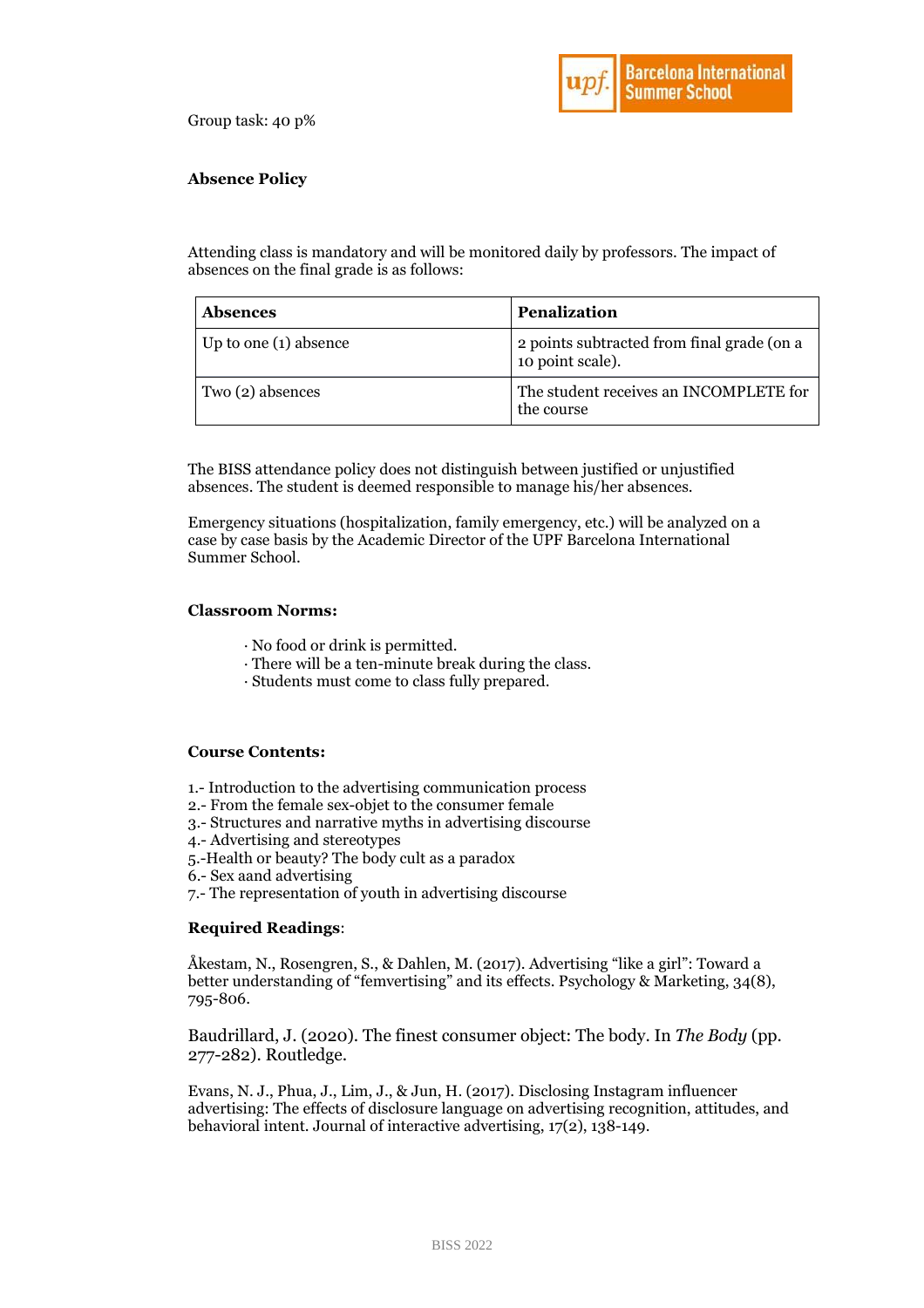

Group task: 40 p%

# **Absence Policy**

Attending class is mandatory and will be monitored daily by professors. The impact of absences on the final grade is as follows:

| <b>Absences</b>       | <b>Penalization</b>                                            |
|-----------------------|----------------------------------------------------------------|
| Up to one (1) absence | 2 points subtracted from final grade (on a<br>10 point scale). |
| Two (2) absences      | The student receives an INCOMPLETE for<br>the course           |

The BISS attendance policy does not distinguish between justified or unjustified absences. The student is deemed responsible to manage his/her absences.

Emergency situations (hospitalization, family emergency, etc.) will be analyzed on a case by case basis by the Academic Director of the UPF Barcelona International Summer School.

### **Classroom Norms:**

- · No food or drink is permitted.
- · There will be a ten-minute break during the class.
- · Students must come to class fully prepared.

### **Course Contents:**

- 1.- Introduction to the advertising communication process
- 2.- From the female sex-objet to the consumer female
- 3.- Structures and narrative myths in advertising discourse
- 4.- Advertising and stereotypes
- 5.-Health or beauty? The body cult as a paradox
- 6.- Sex aand advertising
- 7.- The representation of youth in advertising discourse

## **Required Readings**:

Åkestam, N., Rosengren, S., & Dahlen, M. (2017). Advertising "like a girl": Toward a better understanding of "femvertising" and its effects. Psychology & Marketing, 34(8), 795-806.

Baudrillard, J. (2020). The finest consumer object: The body. In *The Body* (pp. 277-282). Routledge.

Evans, N. J., Phua, J., Lim, J., & Jun, H. (2017). Disclosing Instagram influencer advertising: The effects of disclosure language on advertising recognition, attitudes, and behavioral intent. Journal of interactive advertising, 17(2), 138-149.